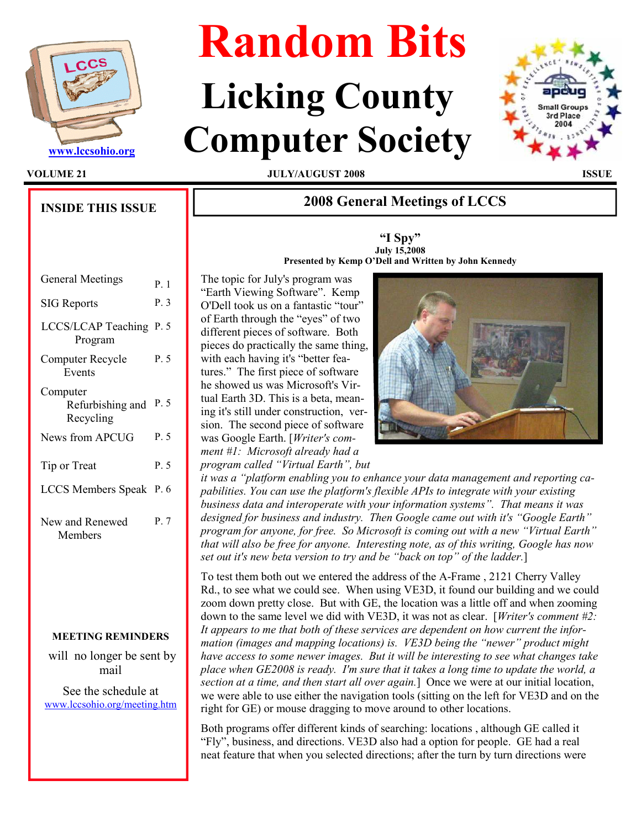

INSIDE THIS ISSUE

# Random Bits

# Licking County Www.lccsohio.org Computer Society



VOLUME 21 JULY/AUGUST 2008 ISSUE

# 2008 General Meetings of LCCS

"I Spy" July 15,2008



Presented by Kemp O'Dell and Written by John Kennedy

| <b>General Meetings</b>                   | $P_{\perp}$ 1 |
|-------------------------------------------|---------------|
| <b>SIG</b> Reports                        | P.3           |
| LCCS/LCAP Teaching P. 5<br>Program        |               |
| Computer Recycle<br>Events                | P. 5          |
| Computer<br>Refurbishing and<br>Recycling | P 5           |
| News from APCUG                           | P.5           |
| Tip or Treat                              | P. 5          |
| LCCS Members Speak P. 6                   |               |
| New and Renewed<br>Members                | P.7           |

### MEETING REMINDERS

 will no longer be sent by mail

See the schedule at www.lccsohio.org/meeting.htm

The topic for July's program was "Earth Viewing Software". Kemp O'Dell took us on a fantastic "tour" of Earth through the "eyes" of two different pieces of software. Both pieces do practically the same thing, with each having it's "better features." The first piece of software he showed us was Microsoft's Virtual Earth 3D. This is a beta, meaning it's still under construction, version. The second piece of software was Google Earth. [Writer's comment #1: Microsoft already had a program called "Virtual Earth", but



it was a "platform enabling you to enhance your data management and reporting capabilities. You can use the platform's flexible APIs to integrate with your existing business data and interoperate with your information systems". That means it was designed for business and industry. Then Google came out with it's "Google Earth" program for anyone, for free. So Microsoft is coming out with a new "Virtual Earth" that will also be free for anyone. Interesting note, as of this writing, Google has now set out it's new beta version to try and be "back on top" of the ladder.]

To test them both out we entered the address of the A-Frame , 2121 Cherry Valley Rd., to see what we could see. When using VE3D, it found our building and we could zoom down pretty close. But with GE, the location was a little off and when zooming down to the same level we did with VE3D, it was not as clear. [Writer's comment #2: It appears to me that both of these services are dependent on how current the information (images and mapping locations) is. VE3D being the "newer" product might have access to some newer images. But it will be interesting to see what changes take place when GE2008 is ready. I'm sure that it takes a long time to update the world, a section at a time, and then start all over again.] Once we were at our initial location, we were able to use either the navigation tools (sitting on the left for VE3D and on the right for GE) or mouse dragging to move around to other locations.

Both programs offer different kinds of searching: locations , although GE called it "Fly", business, and directions. VE3D also had a option for people. GE had a real neat feature that when you selected directions; after the turn by turn directions were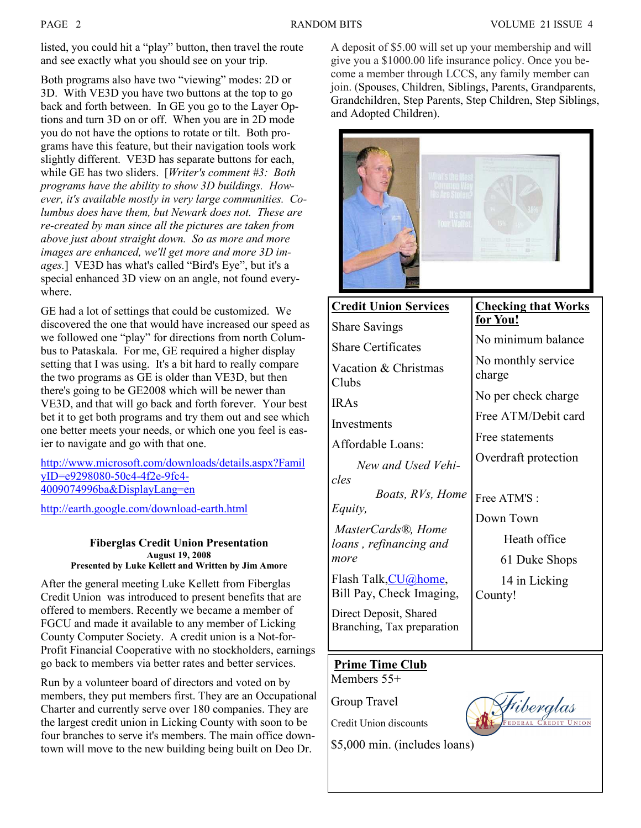listed, you could hit a "play" button, then travel the route and see exactly what you should see on your trip.

Both programs also have two "viewing" modes: 2D or 3D. With VE3D you have two buttons at the top to go back and forth between. In GE you go to the Layer Options and turn 3D on or off. When you are in 2D mode you do not have the options to rotate or tilt. Both programs have this feature, but their navigation tools work slightly different. VE3D has separate buttons for each, while GE has two sliders. [Writer's comment #3: Both programs have the ability to show 3D buildings. However, it's available mostly in very large communities. Columbus does have them, but Newark does not. These are re-created by man since all the pictures are taken from above just about straight down. So as more and more images are enhanced, we'll get more and more 3D images.] VE3D has what's called "Bird's Eye", but it's a special enhanced 3D view on an angle, not found everywhere.

GE had a lot of settings that could be customized. We discovered the one that would have increased our speed as we followed one "play" for directions from north Columbus to Pataskala. For me, GE required a higher display setting that I was using. It's a bit hard to really compare the two programs as GE is older than VE3D, but then there's going to be GE2008 which will be newer than VE3D, and that will go back and forth forever. Your best bet it to get both programs and try them out and see which one better meets your needs, or which one you feel is easier to navigate and go with that one.

http://www.microsoft.com/downloads/details.aspx?Famil yID=e9298080-50c4-4f2e-9fc4- 4009074996ba&DisplayLang=en

http://earth.google.com/download-earth.html

#### Fiberglas Credit Union Presentation August 19, 2008 Presented by Luke Kellett and Written by Jim Amore

After the general meeting Luke Kellett from Fiberglas Credit Union was introduced to present benefits that are offered to members. Recently we became a member of FGCU and made it available to any member of Licking County Computer Society. A credit union is a Not-for-Profit Financial Cooperative with no stockholders, earnings go back to members via better rates and better services.

Run by a volunteer board of directors and voted on by members, they put members first. They are an Occupational Charter and currently serve over 180 companies. They are the largest credit union in Licking County with soon to be four branches to serve it's members. The main office downtown will move to the new building being built on Deo Dr.

A deposit of \$5.00 will set up your membership and will give you a \$1000.00 life insurance policy. Once you become a member through LCCS, any family member can join. (Spouses, Children, Siblings, Parents, Grandparents, Grandchildren, Step Parents, Step Children, Step Siblings, and Adopted Children).

| Mhat's the Most<br>Common Way<br>IDs Are Stolen?     |                            |
|------------------------------------------------------|----------------------------|
| <b>Credit Union Services</b>                         | <b>Checking that Works</b> |
| <b>Share Savings</b>                                 | for You!                   |
| <b>Share Certificates</b>                            | No minimum balance         |
| Vacation & Christmas                                 | No monthly service         |
| Clubs                                                | charge                     |
| <b>IRAs</b>                                          | No per check charge        |
| Investments                                          | Free ATM/Debit card        |
| Affordable Loans:                                    | Free statements            |
| New and Used Vehi-                                   | Overdraft protection       |
| cles                                                 |                            |
| Boats, RVs, Home                                     | Free ATM'S:                |
| Equity,                                              | Down Town                  |
| MasterCards <sup>®</sup> , Home                      | Heath office               |
| loans, refinancing and                               |                            |
| more                                                 | 61 Duke Shops              |
| Flash Talk, CU@home,<br>Bill Pay, Check Imaging,     | 14 in Licking              |
| Direct Deposit, Shared<br>Branching, Tax preparation | County!                    |

### Prime Time Club Members 55+

Group Travel

Credit Union discounts



\$5,000 min. (includes loans)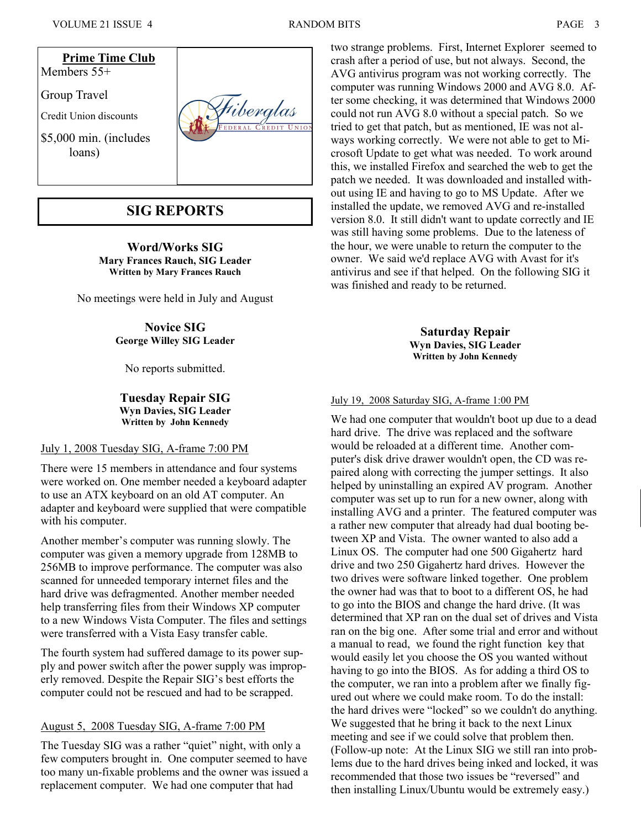

## SIG REPORTS

Word/Works SIG Mary Frances Rauch, SIG Leader Written by Mary Frances Rauch

No meetings were held in July and August

Novice SIG George Willey SIG Leader

No reports submitted.

Tuesday Repair SIG Wyn Davies, SIG Leader Written by John Kennedy

#### July 1, 2008 Tuesday SIG, A-frame 7:00 PM

There were 15 members in attendance and four systems were worked on. One member needed a keyboard adapter to use an ATX keyboard on an old AT computer. An adapter and keyboard were supplied that were compatible with his computer.

Another member's computer was running slowly. The computer was given a memory upgrade from 128MB to 256MB to improve performance. The computer was also scanned for unneeded temporary internet files and the hard drive was defragmented. Another member needed help transferring files from their Windows XP computer to a new Windows Vista Computer. The files and settings were transferred with a Vista Easy transfer cable.

The fourth system had suffered damage to its power supply and power switch after the power supply was improperly removed. Despite the Repair SIG's best efforts the computer could not be rescued and had to be scrapped.

### August 5, 2008 Tuesday SIG, A-frame 7:00 PM

The Tuesday SIG was a rather "quiet" night, with only a few computers brought in. One computer seemed to have too many un-fixable problems and the owner was issued a replacement computer. We had one computer that had

two strange problems. First, Internet Explorer seemed to crash after a period of use, but not always. Second, the AVG antivirus program was not working correctly. The computer was running Windows 2000 and AVG 8.0. After some checking, it was determined that Windows 2000 could not run AVG 8.0 without a special patch. So we tried to get that patch, but as mentioned, IE was not always working correctly. We were not able to get to Microsoft Update to get what was needed. To work around this, we installed Firefox and searched the web to get the patch we needed. It was downloaded and installed without using IE and having to go to MS Update. After we installed the update, we removed AVG and re-installed version 8.0. It still didn't want to update correctly and IE was still having some problems. Due to the lateness of the hour, we were unable to return the computer to the owner. We said we'd replace AVG with Avast for it's antivirus and see if that helped. On the following SIG it was finished and ready to be returned.

> Saturday Repair Wyn Davies, SIG Leader Written by John Kennedy

July 19, 2008 Saturday SIG, A-frame 1:00 PM

We had one computer that wouldn't boot up due to a dead hard drive. The drive was replaced and the software would be reloaded at a different time. Another computer's disk drive drawer wouldn't open, the CD was repaired along with correcting the jumper settings. It also helped by uninstalling an expired AV program. Another computer was set up to run for a new owner, along with installing AVG and a printer. The featured computer was a rather new computer that already had dual booting between XP and Vista. The owner wanted to also add a Linux OS. The computer had one 500 Gigahertz hard drive and two 250 Gigahertz hard drives. However the two drives were software linked together. One problem the owner had was that to boot to a different OS, he had to go into the BIOS and change the hard drive. (It was determined that XP ran on the dual set of drives and Vista ran on the big one. After some trial and error and without a manual to read, we found the right function key that would easily let you choose the OS you wanted without having to go into the BIOS. As for adding a third OS to the computer, we ran into a problem after we finally figured out where we could make room. To do the install: the hard drives were "locked" so we couldn't do anything. We suggested that he bring it back to the next Linux meeting and see if we could solve that problem then. (Follow-up note: At the Linux SIG we still ran into problems due to the hard drives being inked and locked, it was recommended that those two issues be "reversed" and then installing Linux/Ubuntu would be extremely easy.)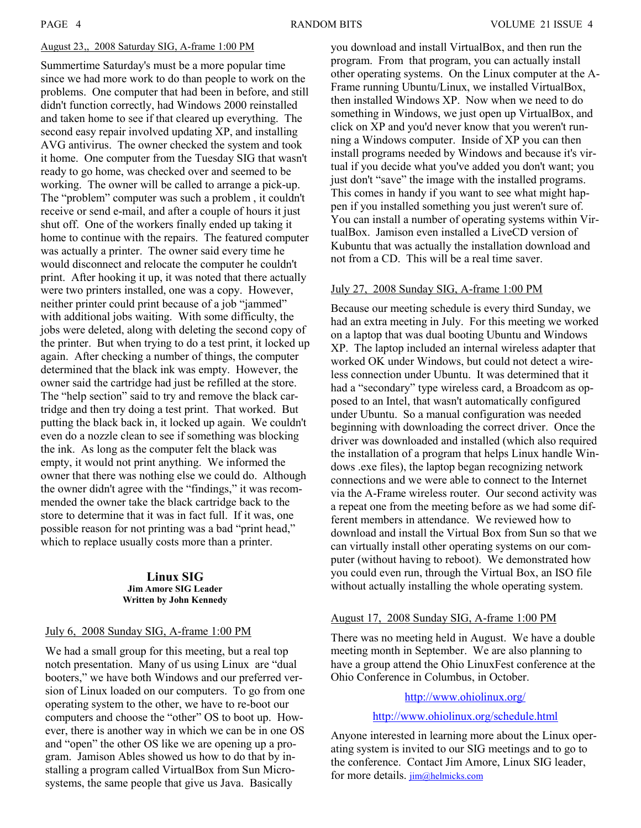#### August 23,, 2008 Saturday SIG, A-frame 1:00 PM

Summertime Saturday's must be a more popular time since we had more work to do than people to work on the problems. One computer that had been in before, and still didn't function correctly, had Windows 2000 reinstalled and taken home to see if that cleared up everything. The second easy repair involved updating XP, and installing AVG antivirus. The owner checked the system and took it home. One computer from the Tuesday SIG that wasn't ready to go home, was checked over and seemed to be working. The owner will be called to arrange a pick-up. The "problem" computer was such a problem , it couldn't receive or send e-mail, and after a couple of hours it just shut off. One of the workers finally ended up taking it home to continue with the repairs. The featured computer was actually a printer. The owner said every time he would disconnect and relocate the computer he couldn't print. After hooking it up, it was noted that there actually were two printers installed, one was a copy. However, neither printer could print because of a job "jammed" with additional jobs waiting. With some difficulty, the jobs were deleted, along with deleting the second copy of the printer. But when trying to do a test print, it locked up again. After checking a number of things, the computer determined that the black ink was empty. However, the owner said the cartridge had just be refilled at the store. The "help section" said to try and remove the black cartridge and then try doing a test print. That worked. But putting the black back in, it locked up again. We couldn't even do a nozzle clean to see if something was blocking the ink. As long as the computer felt the black was empty, it would not print anything. We informed the owner that there was nothing else we could do. Although the owner didn't agree with the "findings," it was recommended the owner take the black cartridge back to the store to determine that it was in fact full. If it was, one possible reason for not printing was a bad "print head," which to replace usually costs more than a printer.

#### Linux SIG Jim Amore SIG Leader Written by John Kennedy

#### July 6, 2008 Sunday SIG, A-frame 1:00 PM

We had a small group for this meeting, but a real top notch presentation. Many of us using Linux are "dual booters," we have both Windows and our preferred version of Linux loaded on our computers. To go from one operating system to the other, we have to re-boot our computers and choose the "other" OS to boot up. However, there is another way in which we can be in one OS and "open" the other OS like we are opening up a program. Jamison Ables showed us how to do that by installing a program called VirtualBox from Sun Microsystems, the same people that give us Java. Basically

you download and install VirtualBox, and then run the program. From that program, you can actually install other operating systems. On the Linux computer at the A-Frame running Ubuntu/Linux, we installed VirtualBox, then installed Windows XP. Now when we need to do something in Windows, we just open up VirtualBox, and click on XP and you'd never know that you weren't running a Windows computer. Inside of XP you can then install programs needed by Windows and because it's virtual if you decide what you've added you don't want; you just don't "save" the image with the installed programs. This comes in handy if you want to see what might happen if you installed something you just weren't sure of. You can install a number of operating systems within VirtualBox. Jamison even installed a LiveCD version of Kubuntu that was actually the installation download and not from a CD. This will be a real time saver.

#### July 27, 2008 Sunday SIG, A-frame 1:00 PM

Because our meeting schedule is every third Sunday, we had an extra meeting in July. For this meeting we worked on a laptop that was dual booting Ubuntu and Windows XP. The laptop included an internal wireless adapter that worked OK under Windows, but could not detect a wireless connection under Ubuntu. It was determined that it had a "secondary" type wireless card, a Broadcom as opposed to an Intel, that wasn't automatically configured under Ubuntu. So a manual configuration was needed beginning with downloading the correct driver. Once the driver was downloaded and installed (which also required the installation of a program that helps Linux handle Windows .exe files), the laptop began recognizing network connections and we were able to connect to the Internet via the A-Frame wireless router. Our second activity was a repeat one from the meeting before as we had some different members in attendance. We reviewed how to download and install the Virtual Box from Sun so that we can virtually install other operating systems on our computer (without having to reboot). We demonstrated how you could even run, through the Virtual Box, an ISO file without actually installing the whole operating system.

#### August 17, 2008 Sunday SIG, A-frame 1:00 PM

There was no meeting held in August. We have a double meeting month in September. We are also planning to have a group attend the Ohio LinuxFest conference at the Ohio Conference in Columbus, in October.

#### http://www.ohiolinux.org/

http://www.ohiolinux.org/schedule.html

Anyone interested in learning more about the Linux operating system is invited to our SIG meetings and to go to the conference. Contact Jim Amore, Linux SIG leader, for more details. jim@helmicks.com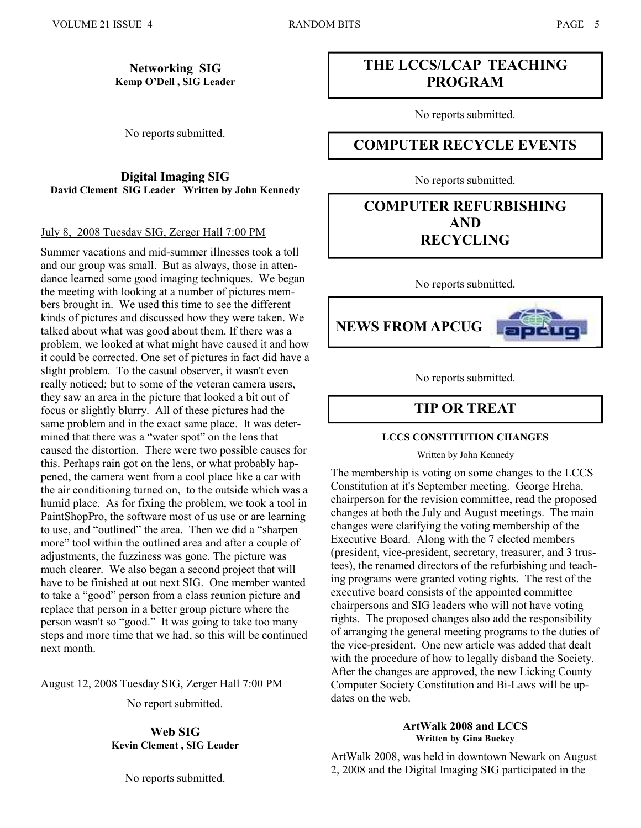#### Networking SIG Kemp O'Dell , SIG Leader

No reports submitted.

Digital Imaging SIG David Clement SIG Leader Written by John Kennedy

#### July 8, 2008 Tuesday SIG, Zerger Hall 7:00 PM

Summer vacations and mid-summer illnesses took a toll and our group was small. But as always, those in attendance learned some good imaging techniques. We began the meeting with looking at a number of pictures members brought in. We used this time to see the different kinds of pictures and discussed how they were taken. We talked about what was good about them. If there was a problem, we looked at what might have caused it and how it could be corrected. One set of pictures in fact did have a slight problem. To the casual observer, it wasn't even really noticed; but to some of the veteran camera users, they saw an area in the picture that looked a bit out of focus or slightly blurry. All of these pictures had the same problem and in the exact same place. It was determined that there was a "water spot" on the lens that caused the distortion. There were two possible causes for this. Perhaps rain got on the lens, or what probably happened, the camera went from a cool place like a car with the air conditioning turned on, to the outside which was a humid place. As for fixing the problem, we took a tool in PaintShopPro, the software most of us use or are learning to use, and "outlined" the area. Then we did a "sharpen more" tool within the outlined area and after a couple of adjustments, the fuzziness was gone. The picture was much clearer. We also began a second project that will have to be finished at out next SIG. One member wanted to take a "good" person from a class reunion picture and replace that person in a better group picture where the person wasn't so "good." It was going to take too many steps and more time that we had, so this will be continued next month.

August 12, 2008 Tuesday SIG, Zerger Hall 7:00 PM

No report submitted.

Web SIG Kevin Clement , SIG Leader

No reports submitted.

# THE LCCS/LCAP TEACHING PROGRAM

No reports submitted.

# COMPUTER RECYCLE EVENTS

No reports submitted.

# COMPUTER REFURBISHING AND RECYCLING

No reports submitted.



No reports submitted.

# TIP OR TREAT

#### LCCS CONSTITUTION CHANGES

Written by John Kennedy

The membership is voting on some changes to the LCCS Constitution at it's September meeting. George Hreha, chairperson for the revision committee, read the proposed changes at both the July and August meetings. The main changes were clarifying the voting membership of the Executive Board. Along with the 7 elected members (president, vice-president, secretary, treasurer, and 3 trustees), the renamed directors of the refurbishing and teaching programs were granted voting rights. The rest of the executive board consists of the appointed committee chairpersons and SIG leaders who will not have voting rights. The proposed changes also add the responsibility of arranging the general meeting programs to the duties of the vice-president. One new article was added that dealt with the procedure of how to legally disband the Society. After the changes are approved, the new Licking County Computer Society Constitution and Bi-Laws will be updates on the web.

#### ArtWalk 2008 and LCCS Written by Gina Buckey

ArtWalk 2008, was held in downtown Newark on August 2, 2008 and the Digital Imaging SIG participated in the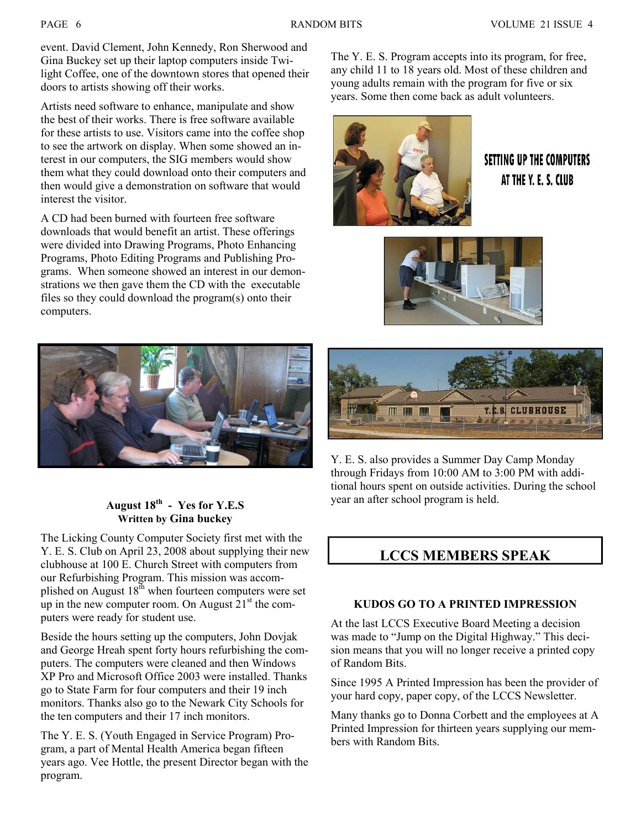event. David Clement, John Kennedy, Ron Sherwood and Gina Buckey set up their laptop computers inside Twilight Coffee, one of the downtown stores that opened their doors to artists showing off their works.

Artists need software to enhance, manipulate and show the best of their works. There is free software available for these artists to use. Visitors came into the coffee shop to see the artwork on display. When some showed an interest in our computers, the SIG members would show them what they could download onto their computers and then would give a demonstration on software that would interest the visitor.

A CD had been burned with fourteen free software downloads that would benefit an artist. These offerings were divided into Drawing Programs, Photo Enhancing Programs, Photo Editing Programs and Publishing Programs. When someone showed an interest in our demonstrations we then gave them the CD with the executable files so they could download the program(s) onto their computers.

The Y. E. S. Program accepts into its program, for free, any child 11 to 18 years old. Most of these children and young adults remain with the program for five or six years. Some then come back as adult volunteers.



# **SETTING UP THE COMPUTERS** AT THE Y. E. S. CLUB





### August  $18^{th}$  - Yes for Y.E.S Written by Gina buckey

The Licking County Computer Society first met with the Y. E. S. Club on April 23, 2008 about supplying their new clubhouse at 100 E. Church Street with computers from our Refurbishing Program. This mission was accomplished on August  $18^{\text{th}}$  when fourteen computers were set up in the new computer room. On August  $21<sup>st</sup>$  the computers were ready for student use.

Beside the hours setting up the computers, John Dovjak and George Hreah spent forty hours refurbishing the computers. The computers were cleaned and then Windows XP Pro and Microsoft Office 2003 were installed. Thanks go to State Farm for four computers and their 19 inch monitors. Thanks also go to the Newark City Schools for the ten computers and their 17 inch monitors.

The Y. E. S. (Youth Engaged in Service Program) Program, a part of Mental Health America began fifteen years ago. Vee Hottle, the present Director began with the program.



Y. E. S. also provides a Summer Day Camp Monday through Fridays from 10:00 AM to 3:00 PM with additional hours spent on outside activities. During the school year an after school program is held.

# LCCS MEMBERS SPEAK

### KUDOS GO TO A PRINTED IMPRESSION

At the last LCCS Executive Board Meeting a decision was made to "Jump on the Digital Highway." This decision means that you will no longer receive a printed copy of Random Bits.

Since 1995 A Printed Impression has been the provider of your hard copy, paper copy, of the LCCS Newsletter.

Many thanks go to Donna Corbett and the employees at A Printed Impression for thirteen years supplying our members with Random Bits.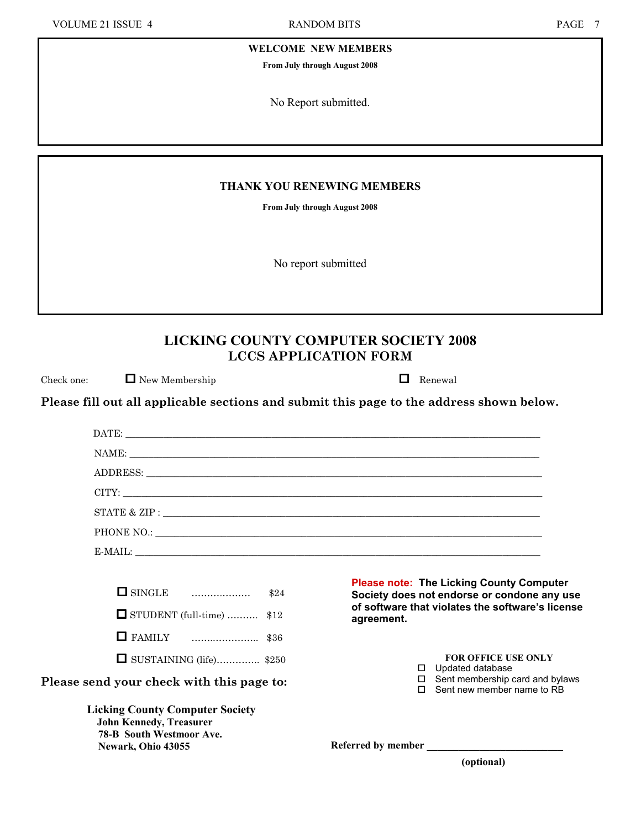WELCOME NEW MEMBERS

From July through August 2008

No Report submitted.

#### THANK YOU RENEWING MEMBERS

From July through August 2008

No report submitted

# LICKING COUNTY COMPUTER SOCIETY 2008 LCCS APPLICATION FORM

Check one:  $\Box$  New Membership  $\Box$  Renewal

Please fill out all applicable sections and submit this page to the address shown below.

|                                                                                                                                   | (optional)                                                                                     |  |
|-----------------------------------------------------------------------------------------------------------------------------------|------------------------------------------------------------------------------------------------|--|
| <b>Licking County Computer Society</b><br><b>John Kennedy, Treasurer</b><br><b>78-B South Westmoor Ave.</b><br>Newark, Ohio 43055 | Referred by member                                                                             |  |
| Please send your check with this page to:                                                                                         | Sent membership card and bylaws<br>$\Box$<br>Sent new member name to RB<br>П.                  |  |
| $\Box$ SUSTAINING (life) \$250                                                                                                    | <b>FOR OFFICE USE ONLY</b><br>$\Box$ Updated database                                          |  |
|                                                                                                                                   |                                                                                                |  |
| $\Box$ STUDENT (full-time)  \$12                                                                                                  | of software that violates the software's license<br>agreement.                                 |  |
| $\Box$ SINGLE $\Box$ \$24                                                                                                         | <b>Please note: The Licking County Computer</b><br>Society does not endorse or condone any use |  |
|                                                                                                                                   | E-MAIL:                                                                                        |  |
|                                                                                                                                   |                                                                                                |  |
|                                                                                                                                   |                                                                                                |  |
|                                                                                                                                   |                                                                                                |  |
|                                                                                                                                   |                                                                                                |  |
| NAME:                                                                                                                             |                                                                                                |  |
|                                                                                                                                   |                                                                                                |  |